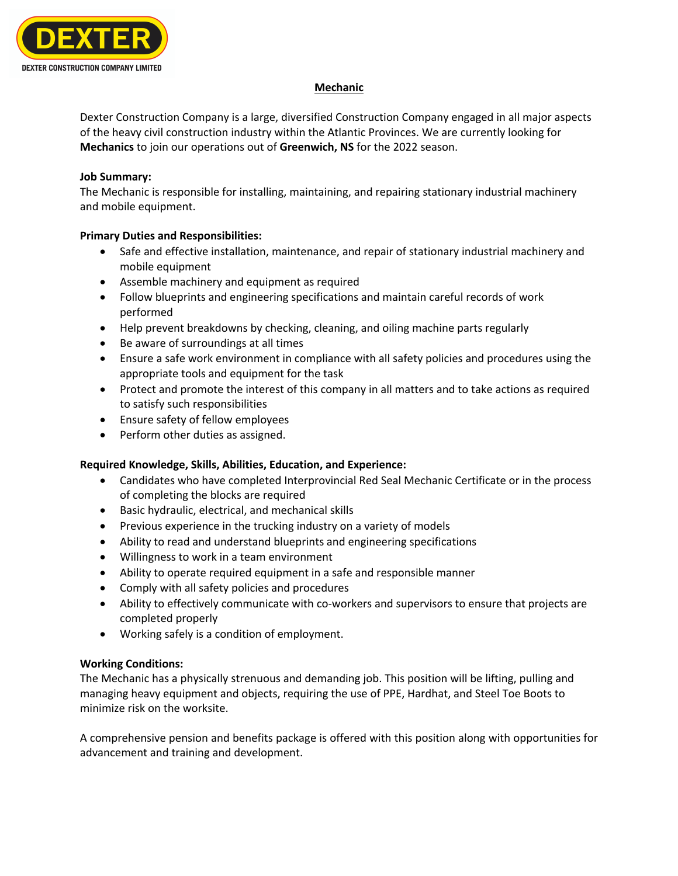

## **Mechanic**

Dexter Construction Company is a large, diversified Construction Company engaged in all major aspects of the heavy civil construction industry within the Atlantic Provinces. We are currently looking for **Mechanics** to join our operations out of **Greenwich, NS** for the 2022 season.

## **Job Summary:**

The Mechanic is responsible for installing, maintaining, and repairing stationary industrial machinery and mobile equipment.

# **Primary Duties and Responsibilities:**

- Safe and effective installation, maintenance, and repair of stationary industrial machinery and mobile equipment
- Assemble machinery and equipment as required
- Follow blueprints and engineering specifications and maintain careful records of work performed
- Help prevent breakdowns by checking, cleaning, and oiling machine parts regularly
- Be aware of surroundings at all times
- Ensure a safe work environment in compliance with all safety policies and procedures using the appropriate tools and equipment for the task
- Protect and promote the interest of this company in all matters and to take actions as required to satisfy such responsibilities
- Ensure safety of fellow employees
- Perform other duties as assigned.

# **Required Knowledge, Skills, Abilities, Education, and Experience:**

- Candidates who have completed Interprovincial Red Seal Mechanic Certificate or in the process of completing the blocks are required
- Basic hydraulic, electrical, and mechanical skills
- Previous experience in the trucking industry on a variety of models
- Ability to read and understand blueprints and engineering specifications
- Willingness to work in a team environment
- Ability to operate required equipment in a safe and responsible manner
- Comply with all safety policies and procedures
- Ability to effectively communicate with co-workers and supervisors to ensure that projects are completed properly
- Working safely is a condition of employment.

# **Working Conditions:**

The Mechanic has a physically strenuous and demanding job. This position will be lifting, pulling and managing heavy equipment and objects, requiring the use of PPE, Hardhat, and Steel Toe Boots to minimize risk on the worksite.

A comprehensive pension and benefits package is offered with this position along with opportunities for advancement and training and development.